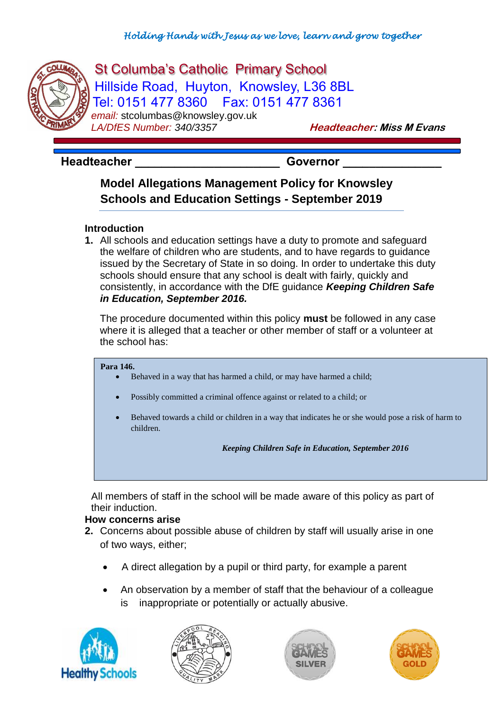

------

# St Columba's Catholic Primary School Hillside Road, Huyton, Knowsley, L36 8BL Tel: 0151 477 8360 Fax: 0151 477 8361 *email:* stcolumbas@knowsley.gov.uk

**LA/DfES Number: 340/3357 Headteacher: Miss M Evans** 

## Headteacher **Manual Exception Covernor**

# **Model Allegations Management Policy for Knowsley Schools and Education Settings - September 2019**

### **Introduction**

**1.** All schools and education settings have a duty to promote and safeguard the welfare of children who are students, and to have regards to guidance issued by the Secretary of State in so doing. In order to undertake this duty schools should ensure that any school is dealt with fairly, quickly and consistently, in accordance with the DfE guidance *Keeping Children Safe in Education, September 2016.*

The procedure documented within this policy **must** be followed in any case where it is alleged that a teacher or other member of staff or a volunteer at the school has:

#### **Para 146.**

- Behaved in a way that has harmed a child, or may have harmed a child;
- Possibly committed a criminal offence against or related to a child; or
- Behaved towards a child or children in a way that indicates he or she would pose a risk of harm to children.

*Keeping Children Safe in Education, September 2016*

All members of staff in the school will be made aware of this policy as part of their induction.

#### **How concerns arise**

- **2.** Concerns about possible abuse of children by staff will usually arise in one of two ways, either;
	- A direct allegation by a pupil or third party, for example a parent
	- An observation by a member of staff that the behaviour of a colleague is inappropriate or potentially or actually abusive.







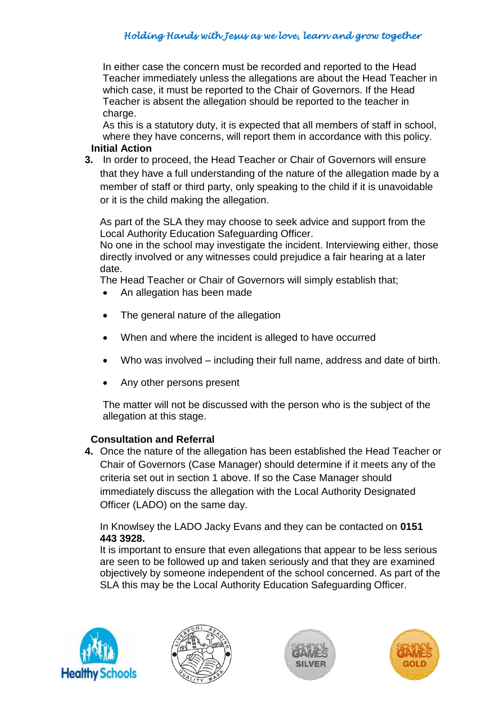In either case the concern must be recorded and reported to the Head Teacher immediately unless the allegations are about the Head Teacher in which case, it must be reported to the Chair of Governors. If the Head Teacher is absent the allegation should be reported to the teacher in charge.

As this is a statutory duty, it is expected that all members of staff in school, where they have concerns, will report them in accordance with this policy.

### **Initial Action**

**3.** In order to proceed, the Head Teacher or Chair of Governors will ensure that they have a full understanding of the nature of the allegation made by a member of staff or third party, only speaking to the child if it is unavoidable or it is the child making the allegation.

As part of the SLA they may choose to seek advice and support from the Local Authority Education Safeguarding Officer.

No one in the school may investigate the incident. Interviewing either, those directly involved or any witnesses could prejudice a fair hearing at a later date.

The Head Teacher or Chair of Governors will simply establish that;

- An allegation has been made
- The general nature of the allegation
- When and where the incident is alleged to have occurred
- Who was involved including their full name, address and date of birth.
- Any other persons present

The matter will not be discussed with the person who is the subject of the allegation at this stage.

### **Consultation and Referral**

**4.** Once the nature of the allegation has been established the Head Teacher or Chair of Governors (Case Manager) should determine if it meets any of the criteria set out in section 1 above. If so the Case Manager should immediately discuss the allegation with the Local Authority Designated Officer (LADO) on the same day.

In Knowlsey the LADO Jacky Evans and they can be contacted on **0151 443 3928.**

It is important to ensure that even allegations that appear to be less serious are seen to be followed up and taken seriously and that they are examined objectively by someone independent of the school concerned. As part of the SLA this may be the Local Authority Education Safeguarding Officer.







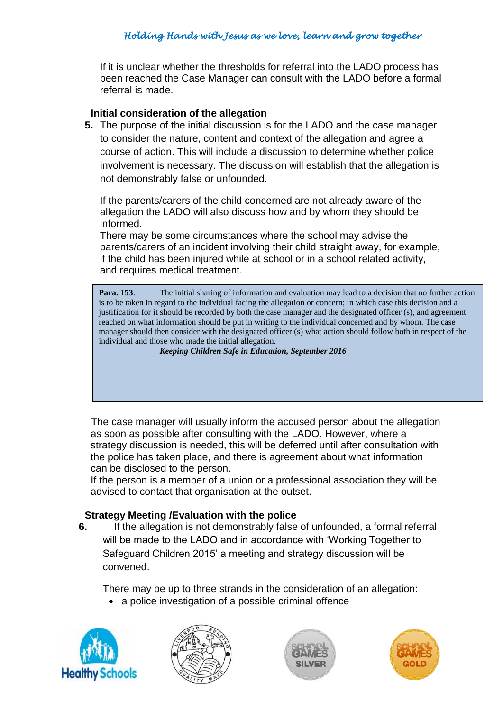If it is unclear whether the thresholds for referral into the LADO process has been reached the Case Manager can consult with the LADO before a formal referral is made.

### **Initial consideration of the allegation**

**5.** The purpose of the initial discussion is for the LADO and the case manager to consider the nature, content and context of the allegation and agree a course of action. This will include a discussion to determine whether police involvement is necessary. The discussion will establish that the allegation is not demonstrably false or unfounded.

If the parents/carers of the child concerned are not already aware of the allegation the LADO will also discuss how and by whom they should be informed.

There may be some circumstances where the school may advise the parents/carers of an incident involving their child straight away, for example, if the child has been injured while at school or in a school related activity, and requires medical treatment.

**Para. 153.** The initial sharing of information and evaluation may lead to a decision that no further action is to be taken in regard to the individual facing the allegation or concern; in which case this decision and a justification for it should be recorded by both the case manager and the designated officer (s), and agreement reached on what information should be put in writing to the individual concerned and by whom. The case manager should then consider with the designated officer (s) what action should follow both in respect of the individual and those who made the initial allegation.

*Keeping Children Safe in Education, September 2016*

The case manager will usually inform the accused person about the allegation as soon as possible after consulting with the LADO. However, where a strategy discussion is needed, this will be deferred until after consultation with the police has taken place, and there is agreement about what information can be disclosed to the person.

If the person is a member of a union or a professional association they will be advised to contact that organisation at the outset.

### **Strategy Meeting /Evaluation with the police**

**6.** If the allegation is not demonstrably false of unfounded, a formal referral will be made to the LADO and in accordance with 'Working Together to Safeguard Children 2015' a meeting and strategy discussion will be convened.

There may be up to three strands in the consideration of an allegation:

a police investigation of a possible criminal offence







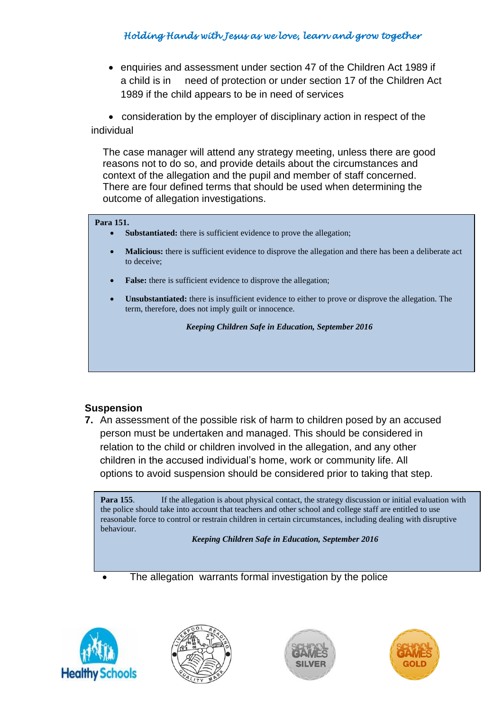enquiries and assessment under section 47 of the Children Act 1989 if a child is in need of protection or under section 17 of the Children Act 1989 if the child appears to be in need of services

 consideration by the employer of disciplinary action in respect of the individual

The case manager will attend any strategy meeting, unless there are good reasons not to do so, and provide details about the circumstances and context of the allegation and the pupil and member of staff concerned. There are four defined terms that should be used when determining the outcome of allegation investigations.

#### **Para 151.**

- **Substantiated:** there is sufficient evidence to prove the allegation;
- **Malicious:** there is sufficient evidence to disprove the allegation and there has been a deliberate act to deceive;
- **False:** there is sufficient evidence to disprove the allegation;
- **Unsubstantiated:** there is insufficient evidence to either to prove or disprove the allegation. The term, therefore, does not imply guilt or innocence.

*Keeping Children Safe in Education, September 2016*

#### **Suspension**

**7.** An assessment of the possible risk of harm to children posed by an accused person must be undertaken and managed. This should be considered in relation to the child or children involved in the allegation, and any other children in the accused individual's home, work or community life. All options to avoid suspension should be considered prior to taking that step.

**Para 155.** If the allegation is about physical contact, the strategy discussion or initial evaluation with the police should take into account that teachers and other school and college staff are entitled to use reasonable force to control or restrain children in certain circumstances, including dealing with disruptive behaviour.

**Suspension Will be considered in any case where;** *Keeping Children Safe in Education, September 2016* 

The allegation warrants formal investigation by the police







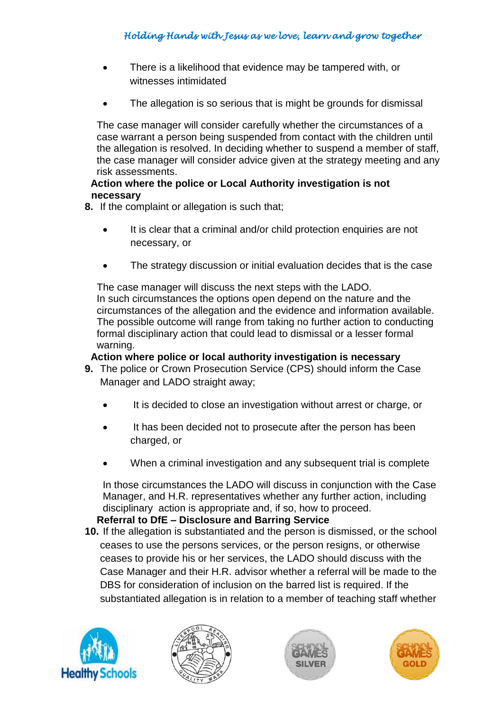- There is a likelihood that evidence may be tampered with, or witnesses intimidated
- The allegation is so serious that is might be grounds for dismissal

The case manager will consider carefully whether the circumstances of a case warrant a person being suspended from contact with the children until the allegation is resolved. In deciding whether to suspend a member of staff, the case manager will consider advice given at the strategy meeting and any risk assessments.

### **Action where the police or Local Authority investigation is not necessary**

- **8.** If the complaint or allegation is such that;
	- It is clear that a criminal and/or child protection enquiries are not necessary, or
	- The strategy discussion or initial evaluation decides that is the case

The case manager will discuss the next steps with the LADO. In such circumstances the options open depend on the nature and the circumstances of the allegation and the evidence and information available. The possible outcome will range from taking no further action to conducting formal disciplinary action that could lead to dismissal or a lesser formal warning.

#### **Action where police or local authority investigation is necessary**

- **9.** The police or Crown Prosecution Service (CPS) should inform the Case Manager and LADO straight away;
	- It is decided to close an investigation without arrest or charge, or
	- It has been decided not to prosecute after the person has been charged, or
	- When a criminal investigation and any subsequent trial is complete

In those circumstances the LADO will discuss in conjunction with the Case Manager, and H.R. representatives whether any further action, including disciplinary action is appropriate and, if so, how to proceed.

### **Referral to DfE – Disclosure and Barring Service**

**10.** If the allegation is substantiated and the person is dismissed, or the school ceases to use the persons services, or the person resigns, or otherwise ceases to provide his or her services, the LADO should discuss with the Case Manager and their H.R. advisor whether a referral will be made to the DBS for consideration of inclusion on the barred list is required. If the substantiated allegation is in relation to a member of teaching staff whether







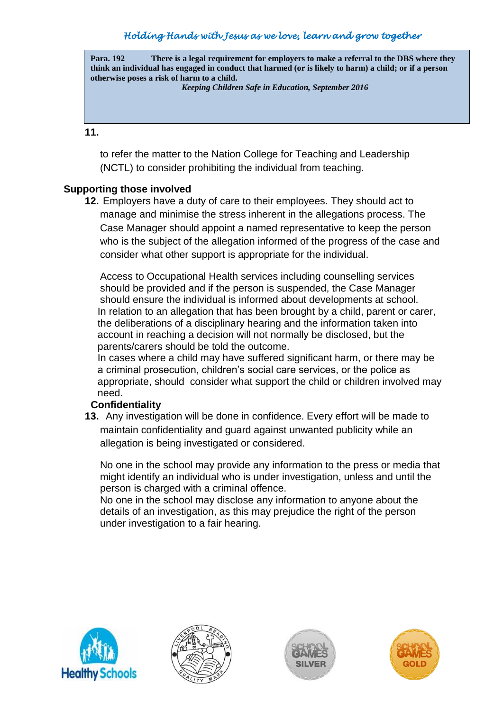**Para. 192 There is a legal requirement for employers to make a referral to the DBS where they think an individual has engaged in conduct that harmed (or is likely to harm) a child; or if a person otherwise poses a risk of harm to a child.**

*Keeping Children Safe in Education, September 2016*

**11.**

to refer the matter to the Nation College for Teaching and Leadership (NCTL) to consider prohibiting the individual from teaching.

### **Supporting those involved**

**12.** Employers have a duty of care to their employees. They should act to manage and minimise the stress inherent in the allegations process. The Case Manager should appoint a named representative to keep the person who is the subject of the allegation informed of the progress of the case and consider what other support is appropriate for the individual.

Access to Occupational Health services including counselling services should be provided and if the person is suspended, the Case Manager should ensure the individual is informed about developments at school. In relation to an allegation that has been brought by a child, parent or carer, the deliberations of a disciplinary hearing and the information taken into account in reaching a decision will not normally be disclosed, but the parents/carers should be told the outcome.

In cases where a child may have suffered significant harm, or there may be a criminal prosecution, children's social care services, or the police as appropriate, should consider what support the child or children involved may need.

### **Confidentiality**

**13.** Any investigation will be done in confidence. Every effort will be made to maintain confidentiality and guard against unwanted publicity while an allegation is being investigated or considered.

No one in the school may provide any information to the press or media that might identify an individual who is under investigation, unless and until the person is charged with a criminal offence.

No one in the school may disclose any information to anyone about the details of an investigation, as this may prejudice the right of the person under investigation to a fair hearing.







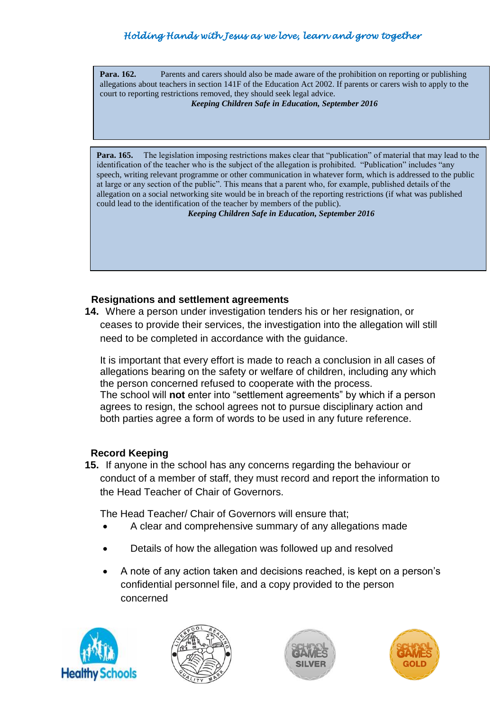**Para. 162.** Parents and carers should also be made aware of the prohibition on reporting or publishing allegations about teachers in section 141F of the Education Act 2002. If parents or carers wish to apply to the **re**  court to reporting restrictions removed, they should seek legal advice. **Para. 162.** Parents and carers should also be made aware of the prohibition on reporting or publishing

#### *Keeping Children Safe in Education, September 2016*

**Para. 165.** The legislation imposing restrictions makes clear that "publication" of material that may lead to the identification of the teacher who is the subject of the allegation is prohibited. "Publication" includes "any speech, writing relevant programme or other communication in whatever form, which is addressed to the public at large or any section of the public". This means that a parent who, for example, published details of the allegation on a social networking site would be in breach of the reporting restrictions (if what was published could lead to the identification of the teacher by members of the public).

#### *Keeping Children Safe in Education, September 2016*

### **Resignations and settlement agreements**

**14.** Where a person under investigation tenders his or her resignation, or ceases to provide their services, the investigation into the allegation will still need to be completed in accordance with the guidance.

It is important that every effort is made to reach a conclusion in all cases of allegations bearing on the safety or welfare of children, including any which the person concerned refused to cooperate with the process. The school will **not** enter into "settlement agreements" by which if a person agrees to resign, the school agrees not to pursue disciplinary action and both parties agree a form of words to be used in any future reference.

#### **Record Keeping**

**15.** If anyone in the school has any concerns regarding the behaviour or conduct of a member of staff, they must record and report the information to the Head Teacher of Chair of Governors.

The Head Teacher/ Chair of Governors will ensure that;

- A clear and comprehensive summary of any allegations made
- Details of how the allegation was followed up and resolved
- A note of any action taken and decisions reached, is kept on a person's confidential personnel file, and a copy provided to the person concerned







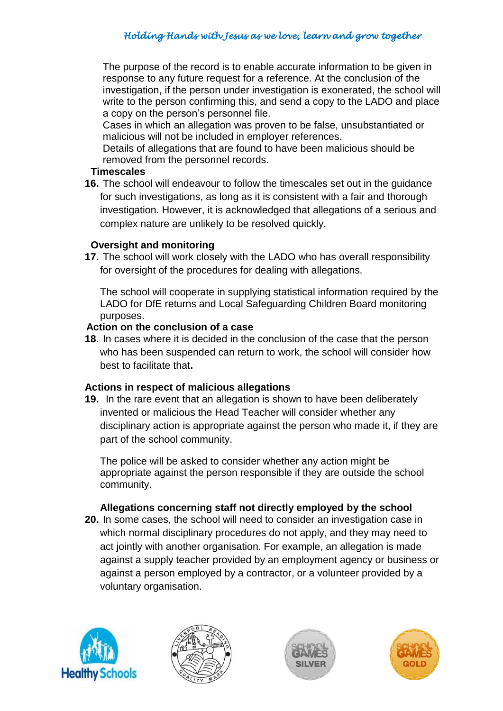The purpose of the record is to enable accurate information to be given in response to any future request for a reference. At the conclusion of the investigation, if the person under investigation is exonerated, the school will write to the person confirming this, and send a copy to the LADO and place a copy on the person's personnel file.

Cases in which an allegation was proven to be false, unsubstantiated or malicious will not be included in employer references.

Details of allegations that are found to have been malicious should be removed from the personnel records.

#### **Timescales**

**16.** The school will endeavour to follow the timescales set out in the guidance for such investigations, as long as it is consistent with a fair and thorough investigation. However, it is acknowledged that allegations of a serious and complex nature are unlikely to be resolved quickly.

### **Oversight and monitoring**

**17.** The school will work closely with the LADO who has overall responsibility for oversight of the procedures for dealing with allegations.

The school will cooperate in supplying statistical information required by the LADO for DfE returns and Local Safeguarding Children Board monitoring purposes.

### **Action on the conclusion of a case**

**18.** In cases where it is decided in the conclusion of the case that the person who has been suspended can return to work, the school will consider how best to facilitate that**.**

### **Actions in respect of malicious allegations**

**19.** In the rare event that an allegation is shown to have been deliberately invented or malicious the Head Teacher will consider whether any disciplinary action is appropriate against the person who made it, if they are part of the school community.

The police will be asked to consider whether any action might be appropriate against the person responsible if they are outside the school community.

### **Allegations concerning staff not directly employed by the school**

**20.** In some cases, the school will need to consider an investigation case in which normal disciplinary procedures do not apply, and they may need to act jointly with another organisation. For example, an allegation is made against a supply teacher provided by an employment agency or business or against a person employed by a contractor, or a volunteer provided by a voluntary organisation.